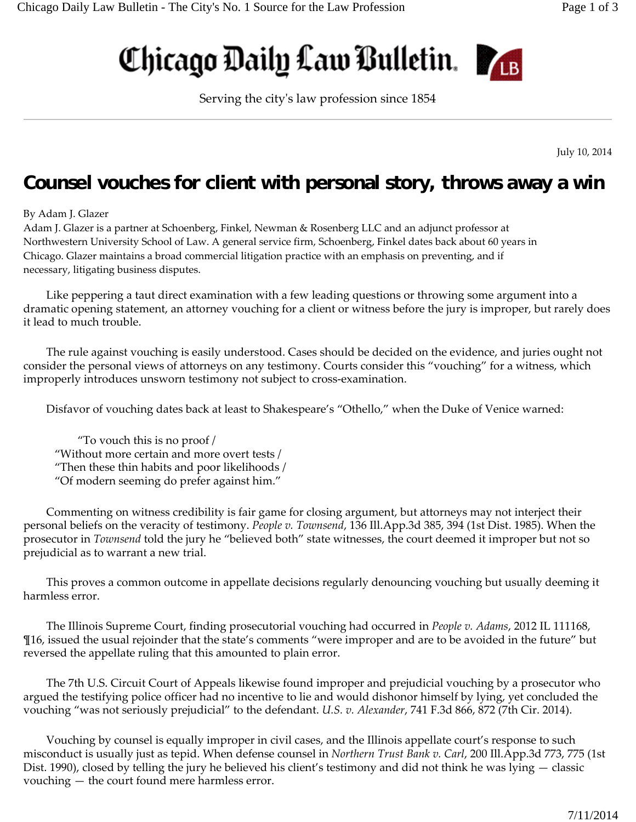## Chicago Daily Law Bulletin.



Serving the cityʹs law profession since 1854

July 10, 2014

## **Counsel vouches for client with personal story, throws away a win**

## By Adam J. Glazer

Adam J. Glazer is a partner at Schoenberg, Finkel, Newman & Rosenberg LLC and an adjunct professor at Northwestern University School of Law. A general service firm, Schoenberg, Finkel dates back about 60 years in Chicago. Glazer maintains a broad commercial litigation practice with an emphasis on preventing, and if necessary, litigating business disputes.

Like peppering a taut direct examination with a few leading questions or throwing some argument into a dramatic opening statement, an attorney vouching for a client or witness before the jury is improper, but rarely does it lead to much trouble.

The rule against vouching is easily understood. Cases should be decided on the evidence, and juries ought not consider the personal views of attorneys on any testimony. Courts consider this "vouching" for a witness, which improperly introduces unsworn testimony not subject to cross‐examination.

Disfavor of vouching dates back at least to Shakespeare's "Othello," when the Duke of Venice warned:

"To vouch this is no proof / "Without more certain and more overt tests / "Then these thin habits and poor likelihoods / "Of modern seeming do prefer against him."

Commenting on witness credibility is fair game for closing argument, but attorneys may not interject their personal beliefs on the veracity of testimony. *People v. Townsend*, 136 Ill.App.3d 385, 394 (1st Dist. 1985). When the prosecutor in *Townsend* told the jury he "believed both" state witnesses, the court deemed it improper but not so prejudicial as to warrant a new trial.

This proves a common outcome in appellate decisions regularly denouncing vouching but usually deeming it harmless error.

The Illinois Supreme Court, finding prosecutorial vouching had occurred in *People v. Adams*, 2012 IL 111168, ¶16, issued the usual rejoinder that the state's comments "were improper and are to be avoided in the future" but reversed the appellate ruling that this amounted to plain error.

The 7th U.S. Circuit Court of Appeals likewise found improper and prejudicial vouching by a prosecutor who argued the testifying police officer had no incentive to lie and would dishonor himself by lying, yet concluded the vouching "was not seriously prejudicial" to the defendant. *U.S. v. Alexander*, 741 F.3d 866, 872 (7th Cir. 2014).

Vouching by counsel is equally improper in civil cases, and the Illinois appellate court's response to such misconduct is usually just as tepid. When defense counsel in *Northern Trust Bank v. Carl*, 200 Ill.App.3d 773, 775 (1st Dist. 1990), closed by telling the jury he believed his client's testimony and did not think he was lying — classic vouching — the court found mere harmless error.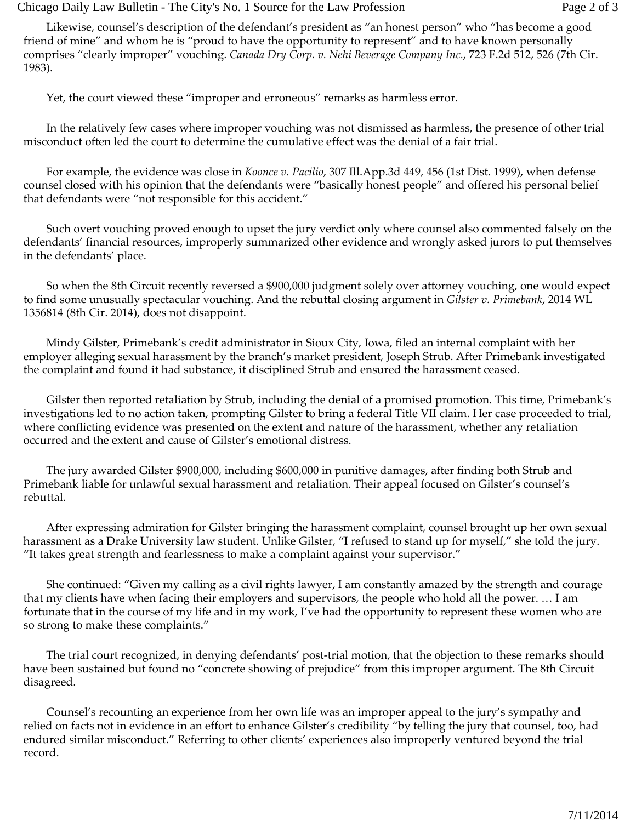Chicago Daily Law Bulletin - The City's No. 1 Source for the Law Profession Page 2 of 3

Likewise, counsel's description of the defendant's president as "an honest person" who "has become a good friend of mine" and whom he is "proud to have the opportunity to represent" and to have known personally comprises "clearly improper" vouching. *Canada Dry Corp. v. Nehi Beverage Company Inc.*, 723 F.2d 512, 526 (7th Cir. 1983).

Yet, the court viewed these "improper and erroneous" remarks as harmless error.

In the relatively few cases where improper vouching was not dismissed as harmless, the presence of other trial misconduct often led the court to determine the cumulative effect was the denial of a fair trial.

For example, the evidence was close in *Koonce v. Pacilio*, 307 Ill.App.3d 449, 456 (1st Dist. 1999), when defense counsel closed with his opinion that the defendants were "basically honest people" and offered his personal belief that defendants were "not responsible for this accident."

Such overt vouching proved enough to upset the jury verdict only where counsel also commented falsely on the defendants' financial resources, improperly summarized other evidence and wrongly asked jurors to put themselves in the defendants' place.

So when the 8th Circuit recently reversed a \$900,000 judgment solely over attorney vouching, one would expect to find some unusually spectacular vouching. And the rebuttal closing argument in *Gilster v. Primebank*, 2014 WL 1356814 (8th Cir. 2014), does not disappoint.

Mindy Gilster, Primebank's credit administrator in Sioux City, Iowa, filed an internal complaint with her employer alleging sexual harassment by the branch's market president, Joseph Strub. After Primebank investigated the complaint and found it had substance, it disciplined Strub and ensured the harassment ceased.

Gilster then reported retaliation by Strub, including the denial of a promised promotion. This time, Primebank's investigations led to no action taken, prompting Gilster to bring a federal Title VII claim. Her case proceeded to trial, where conflicting evidence was presented on the extent and nature of the harassment, whether any retaliation occurred and the extent and cause of Gilster's emotional distress.

The jury awarded Gilster \$900,000, including \$600,000 in punitive damages, after finding both Strub and Primebank liable for unlawful sexual harassment and retaliation. Their appeal focused on Gilster's counsel's rebuttal.

After expressing admiration for Gilster bringing the harassment complaint, counsel brought up her own sexual harassment as a Drake University law student. Unlike Gilster, "I refused to stand up for myself," she told the jury. "It takes great strength and fearlessness to make a complaint against your supervisor."

She continued: "Given my calling as a civil rights lawyer, I am constantly amazed by the strength and courage that my clients have when facing their employers and supervisors, the people who hold all the power. … I am fortunate that in the course of my life and in my work, I've had the opportunity to represent these women who are so strong to make these complaints."

The trial court recognized, in denying defendants' post‐trial motion, that the objection to these remarks should have been sustained but found no "concrete showing of prejudice" from this improper argument. The 8th Circuit disagreed.

Counsel's recounting an experience from her own life was an improper appeal to the jury's sympathy and relied on facts not in evidence in an effort to enhance Gilster's credibility "by telling the jury that counsel, too, had endured similar misconduct." Referring to other clients' experiences also improperly ventured beyond the trial record.